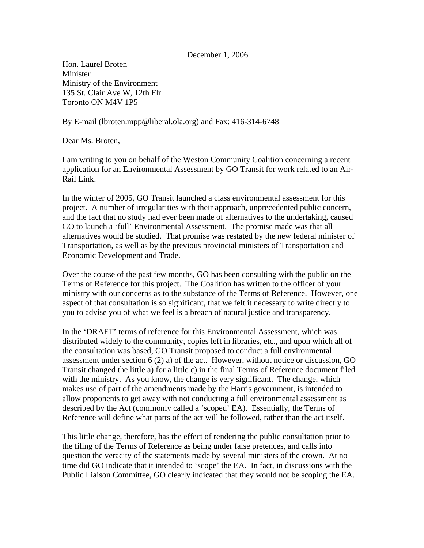## December 1, 2006

Hon. Laurel Broten Minister Ministry of the Environment 135 St. Clair Ave W, 12th Flr Toronto ON M4V 1P5

By E-mail (lbroten.mpp@liberal.ola.org) and Fax: 416-314-6748

Dear Ms. Broten,

I am writing to you on behalf of the Weston Community Coalition concerning a recent application for an Environmental Assessment by GO Transit for work related to an Air-Rail Link.

In the winter of 2005, GO Transit launched a class environmental assessment for this project. A number of irregularities with their approach, unprecedented public concern, and the fact that no study had ever been made of alternatives to the undertaking, caused GO to launch a 'full' Environmental Assessment. The promise made was that all alternatives would be studied. That promise was restated by the new federal minister of Transportation, as well as by the previous provincial ministers of Transportation and Economic Development and Trade.

Over the course of the past few months, GO has been consulting with the public on the Terms of Reference for this project. The Coalition has written to the officer of your ministry with our concerns as to the substance of the Terms of Reference. However, one aspect of that consultation is so significant, that we felt it necessary to write directly to you to advise you of what we feel is a breach of natural justice and transparency.

In the 'DRAFT' terms of reference for this Environmental Assessment, which was distributed widely to the community, copies left in libraries, etc., and upon which all of the consultation was based, GO Transit proposed to conduct a full environmental assessment under section 6 (2) a) of the act. However, without notice or discussion, GO Transit changed the little a) for a little c) in the final Terms of Reference document filed with the ministry. As you know, the change is very significant. The change, which makes use of part of the amendments made by the Harris government, is intended to allow proponents to get away with not conducting a full environmental assessment as described by the Act (commonly called a 'scoped' EA). Essentially, the Terms of Reference will define what parts of the act will be followed, rather than the act itself.

This little change, therefore, has the effect of rendering the public consultation prior to the filing of the Terms of Reference as being under false pretences, and calls into question the veracity of the statements made by several ministers of the crown. At no time did GO indicate that it intended to 'scope' the EA. In fact, in discussions with the Public Liaison Committee, GO clearly indicated that they would not be scoping the EA.